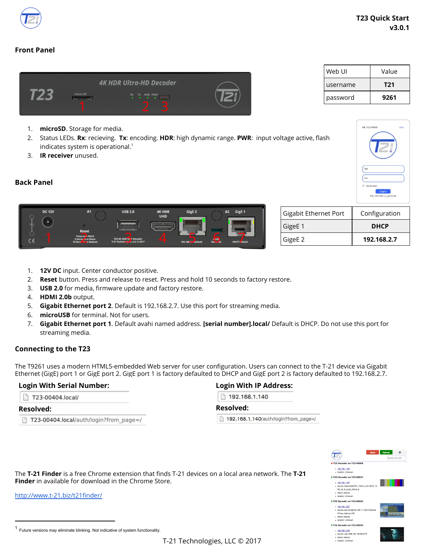

# **Front Panel**



- 1. **microSD**. Storage for media.
- 2. Status LEDs. **Rx**: recieving. **Tx**: encoding. **HDR**: high dynamic range. **PWR**: input voltage active, flash indicates system is operational. $<sup>1</sup>$ </sup>
- 3. **IR receiver** unused.

### **Back Panel**

| <b>DC 12V</b> | <b>A1</b>                                                                      | <b>USB 2.0</b><br>____                                         | <b>4K HDR</b><br><b>UHD</b><br>.<br>-40000- | GigE 2              | <b>A2</b> | GigE <sub>1</sub> |
|---------------|--------------------------------------------------------------------------------|----------------------------------------------------------------|---------------------------------------------|---------------------|-----------|-------------------|
|               | <b>Reset</b><br>Press an I HOLD<br>2 Secon is to Reset<br>10 Second to Restore | <b>T23 4K HDR UND Decoder</b><br>T-21 Technological LLC © 2017 | ∕∣                                          | 192.168.2.7 default | Terminal  | DHCP Lefault      |

| Gigabit Ethernet Port | Configuration |
|-----------------------|---------------|
| GigeE 1               | <b>DHCP</b>   |
| GigeE 2               | 192.168.2.7   |

- 1. **12V DC** input. Center conductor positive.
- 2. **Reset** button. Press and release to reset. Press and hold 10 seconds to factory restore.
- 3. **USB 2.0** for media, firmware update and factory restore.
- 4. **HDMI 2.0b** output.
- 5. **Gigabit Ethernet port 2**. Default is 192.168.2.7. Use this port for streaming media.
- 6. **microUSB** for terminal. Not for users.
- 7. **Gigabit Ethernet port 1**. Default avahi named address. **[serial number].local/** Default is DHCP. Do not use this port for streaming media.

#### **Connecting to the T23**

The T9261 uses a modern HTML5-embedded Web server for user configuration. Users can connect to the T-21 device via Gigabit Ethernet (GigE) port 1 or GigE port 2. GigE port 1 is factory defaulted to DHCP and GigE port 2 is factory defaulted to 192.168.2.7.

#### **Login With Serial Number:**

| T23-00404.local/ |
|------------------|
|                  |

# **Resolved:**

T23-00404.local/auth/login?from\_page=/

# **Login With IP Address:**

□ 192.168.1.140

#### **Resolved:**

192.168.1.140/auth/login?from\_page=/



The **T-21 Finder** is a free Chrome extension that finds T-21 devices on a local area network. The **[T-21](https://chrome.google.com/webstore/detail/t21-finder/papcgnnimkpiokdeiafglmmoiieoedck) [Finder](https://chrome.google.com/webstore/detail/t21-finder/papcgnnimkpiokdeiafglmmoiieoedck)** in available for download in the Chrome Store.

<http://www.t-21.biz/t21finder/>

| Value |
|-------|
| T21   |
| 9261  |
|       |

SN: T23-0000

<sup>1</sup> Future versions may eliminate blinking. Not indicative of system functionality.